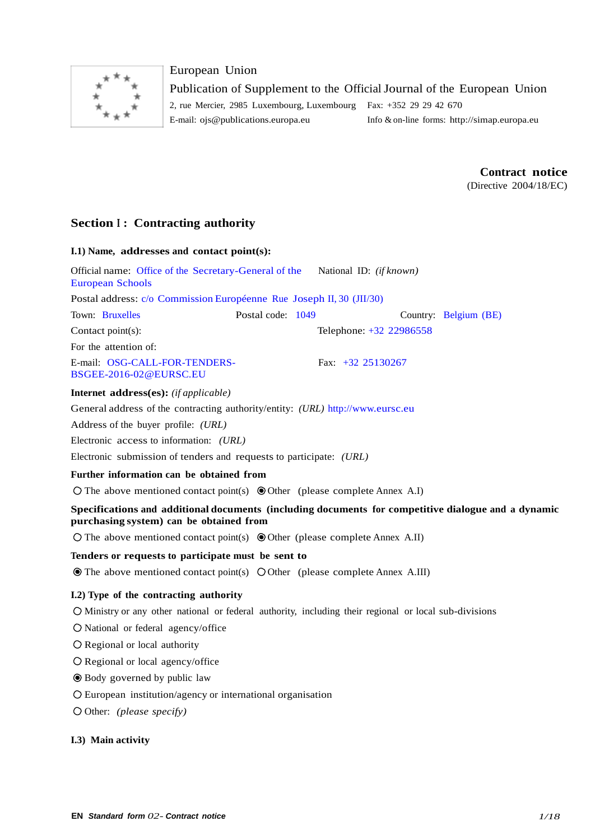

## European Union

Publication of Supplement to the Official Journal of the European Union 2, rue Mercier, 2985 Luxembourg, Luxembourg Fax: +352 29 29 42 670

E-mail: [ojs@publications.europa.eu](mailto:ojs@publications.europa.eu) Info & on-line forms: [http://simap.europa.eu](http://simap.europa.eu/)

**Contract notice**

(Directive 2004/18/EC)

## **Section <sup>I</sup> : Contracting authority**

| I.1) Name, addresses and contact point(s):                                                                                                     |                   |                         |                       |
|------------------------------------------------------------------------------------------------------------------------------------------------|-------------------|-------------------------|-----------------------|
| Official name: Office of the Secretary-General of the<br><b>European Schools</b>                                                               |                   | National ID: (if known) |                       |
| Postal address: c/o Commission Européenne Rue Joseph II, 30 (JII/30)                                                                           |                   |                         |                       |
| Town: Bruxelles                                                                                                                                | Postal code: 1049 |                         | Country: Belgium (BE) |
| Contact point(s):                                                                                                                              |                   | Telephone: +32 22986558 |                       |
| For the attention of:                                                                                                                          |                   |                         |                       |
| E-mail: OSG-CALL-FOR-TENDERS-<br>BSGEE-2016-02@EURSC.EU                                                                                        |                   | Fax: $+32$ 25130267     |                       |
| <b>Internet address(es):</b> (if applicable)                                                                                                   |                   |                         |                       |
| General address of the contracting authority/entity: (URL) http://www.eursc.eu                                                                 |                   |                         |                       |
| Address of the buyer profile: (URL)                                                                                                            |                   |                         |                       |
| Electronic access to information: (URL)                                                                                                        |                   |                         |                       |
| Electronic submission of tenders and requests to participate: (URL)                                                                            |                   |                         |                       |
| Further information can be obtained from                                                                                                       |                   |                         |                       |
| $\circ$ The above mentioned contact point(s) $\circledcirc$ Other (please complete Annex A.I)                                                  |                   |                         |                       |
| Specifications and additional documents (including documents for competitive dialogue and a dynamic<br>purchasing system) can be obtained from |                   |                         |                       |
| $\bigcirc$ The above mentioned contact point(s) $\bigcirc$ Other (please complete Annex A.II)                                                  |                   |                         |                       |
| Tenders or requests to participate must be sent to                                                                                             |                   |                         |                       |
| • The above mentioned contact point(s) O Other (please complete Annex A.III)                                                                   |                   |                         |                       |
| I.2) Type of the contracting authority                                                                                                         |                   |                         |                       |
| O Ministry or any other national or federal authority, including their regional or local sub-divisions                                         |                   |                         |                       |
| O National or federal agency/office                                                                                                            |                   |                         |                       |
| $\bigcirc$ Regional or local authority                                                                                                         |                   |                         |                       |
| $\bigcirc$ Regional or local agency/office                                                                                                     |                   |                         |                       |
| ● Body governed by public law                                                                                                                  |                   |                         |                       |
| $\circ$ European institution/agency or international organisation                                                                              |                   |                         |                       |
| $\bigcirc$ Other: (please specify)                                                                                                             |                   |                         |                       |

## **I.3) Main activity**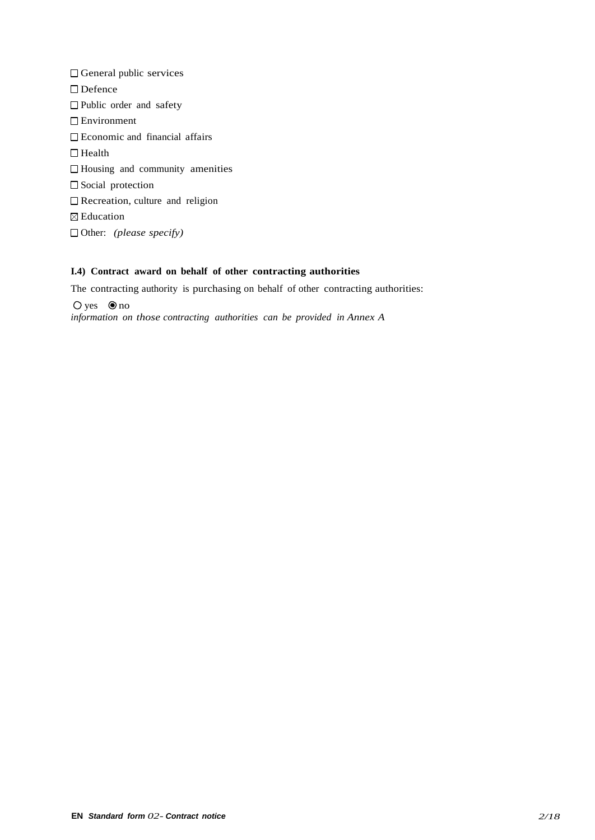General public services □ Defence □ Public order and safety □ Environment Economic and financial affairs  $\Box$  Health Housing and community amenities  $\Box$  Social protection □ Recreation, culture and religion ⊠ Education Other: *(please specify)*

## **I.4) Contract award on behalf of other contracting authorities**

The contracting authority is purchasing on behalf of other contracting authorities:  $\bigcirc$  yes  $\bigcirc$  no

*information on those contracting authorities can be provided in Annex A*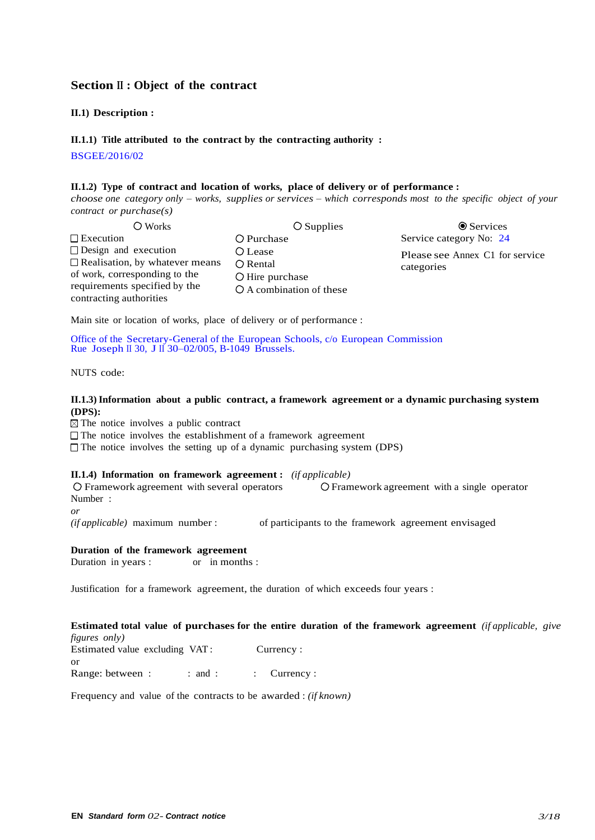## **Section II : Object of the contract**

#### **II.1) Description :**

## **II.1.1) Title attributed to the contract by the contracting authority :**

BSGEE/2016/02

#### **II.1.2) Type of contract and location of works, place of delivery or of performance :**

*choose one category only – works, supplies or services – which corresponds most to the specific object of your contract or purchase(s)*

| O Works                                                              | $\bigcirc$ Supplies      | <b>☉</b> Services               |
|----------------------------------------------------------------------|--------------------------|---------------------------------|
| $\Box$ Execution                                                     | O Purchase               | Service category No: 24         |
| $\Box$ Design and execution<br>$\Box$ Realisation, by whatever means | O Lease<br>O Rental      | Please see Annex C1 for service |
| of work, corresponding to the                                        | O Hire purchase          | categories                      |
| requirements specified by the<br>contracting authorities             | O A combination of these |                                 |

Main site or location of works, place of delivery or of performance :

Office of the Secretary-General of the European Schools, c/o European Commission Rue Joseph II 30, J II 30–02/005, B-1049 Brussels.

NUTS code:

#### **II.1.3) Information about a public contract, a framework agreement or a dynamic purchasing system (DPS):**

 $\boxtimes$  The notice involves a public contract

 $\Box$  The notice involves the establishment of a framework agreement

 $\Box$  The notice involves the setting up of a dynamic purchasing system (DPS)

#### **II.1.4) Information on framework agreement :** *(if applicable)*

Framework agreement with several operators Framework agreement with a single operator Number :

*or*

*(if applicable)* maximum number : of participants to the framework agreement envisaged

# **Duration of the framework agreement**<br>Duration in years : or in months :

Duration in years :

Justification for a framework agreement, the duration of which exceeds four years :

#### **Estimated total value of purchases for the entire duration of the framework agreement** *(if applicable, give figures only)*

Estimated value excluding VAT : Currency : or Range: between : : : : : : : Currency :

Frequency and value of the contracts to be awarded : *(if known)*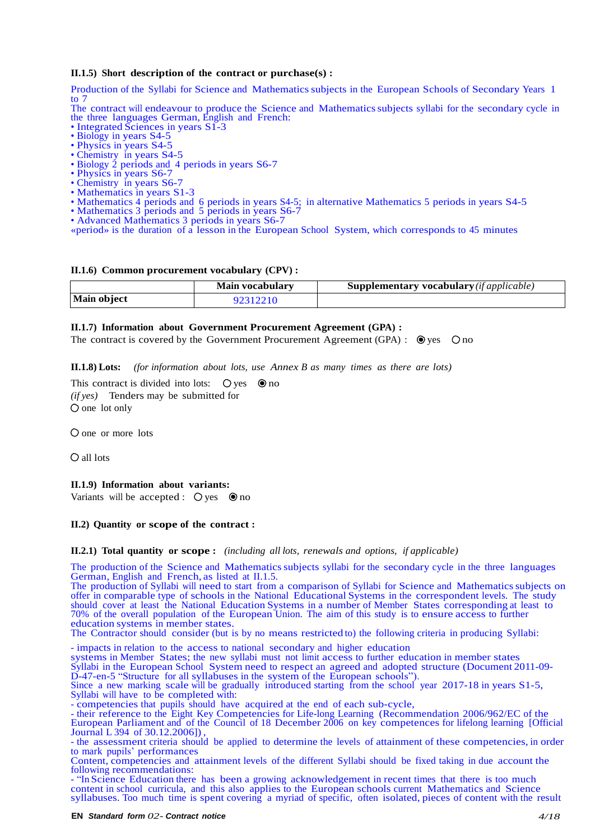#### **II.1.5) Short description of the contract or purchase(s) :**

Production of the Syllabi for Science and Mathematics subjects in the European Schools of Secondary Years 1 to 7

The contract will endeavour to produce the Science and Mathematicssubjects syllabi for the secondary cycle in the three languages German, English and French:

- Integrated Sciences in years S1-3
- Biology in years S4-5
- Physics in years S4-5 • Chemistry in years S4-5
- Biology 2 periods and 4 periods in years S6-7
- Physics in years S6-7
- Chemistry in years S6-7
- Mathematics in years S1-3
- Mathematics 4 periods and 6 periods in years S4-5; in alternative Mathematics 5 periods in years S4-5
- Mathematics 3 periods and 5 periods in years S6-7
- Advanced Mathematics 3 periods in years S6-7
- «period» is the duration of a lesson in the European School System, which corresponds to 45 minutes

#### **II.1.6) Common procurement vocabulary (CPV) :**

|             | Main vocabulary | <b>Supplementary vocabulary</b> ( <i>if applicable</i> ) |
|-------------|-----------------|----------------------------------------------------------|
| Main object | 92312210        |                                                          |

#### **II.1.7) Information about Government Procurement Agreement (GPA) :**

The contract is covered by the Government Procurement Agreement (GPA) :  $\bullet$  yes  $\circ$  no

**II.1.8) Lots:** *(for information about lots, use Annex B as many times as there are lots)*

This contract is divided into lots:  $\bigcirc$  yes  $\bigcirc$  no *(if yes)* Tenders may be submitted for  $O$  one lot only

O one or more lots

all lots

#### **II.1.9) Information about variants:**

Variants will be accepted :  $\bigcirc$  yes  $\bigcirc$  no

#### **II.2) Quantity or scope of the contract :**

**II.2.1) Total quantity or scope :** *(including all lots, renewals and options, if applicable)*

The production of the Science and Mathematicssubjects syllabi for the secondary cycle in the three languages German, English and French, as listed at II.1.5.

The production of Syllabi will need to start from a comparison of Syllabi for Science and Mathematics subjects on offer in comparable type of schools in the National Educational Systems in the correspondent levels. The study should cover at least the National Education Systems in a number of Member States corresponding at least to 70% of the overall population of the European Union. The aim of this study is to ensure access to further education systems in member states.

The Contractor should consider (but is by no means restricted to) the following criteria in producing Syllabi:

- impacts in relation to the access to national secondary and higher education

systems in Member States; the new syllabi must not limit access to further education in member states

Syllabi in the European School System need to respect an agreed and adopted structure (Document 2011-09- D-47-en-5 "Structure for all syllabuses in the system of the European schools").

Since a new marking scale will be gradually introduced starting from the school year 2017-18 in years S1-5, Syllabi will have to be completed with:

- competencies that pupils should have acquired at the end of each sub-cycle,

- their reference to the Eight Key Competencies for Life-long Learning (Recommendation 2006/962/EC of the European Parliament and of the Council of 18 December 2006 on key competences for lifelong learning [Official Journal L 394 of 30.12.2006]) ,

- the assessment criteria should be applied to determine the levels of attainment of these competencies, in order to mark pupils' performances

Content, competencies and attainment levels of the different Syllabi should be fixed taking in due account the following recommendations:

- "In Science Education there has been a growing acknowledgement in recent times that there is too much content in school curricula, and this also applies to the European schools current Mathematics and Science syllabuses. Too much time is spent covering a myriad of specific, often isolated, pieces of content with the result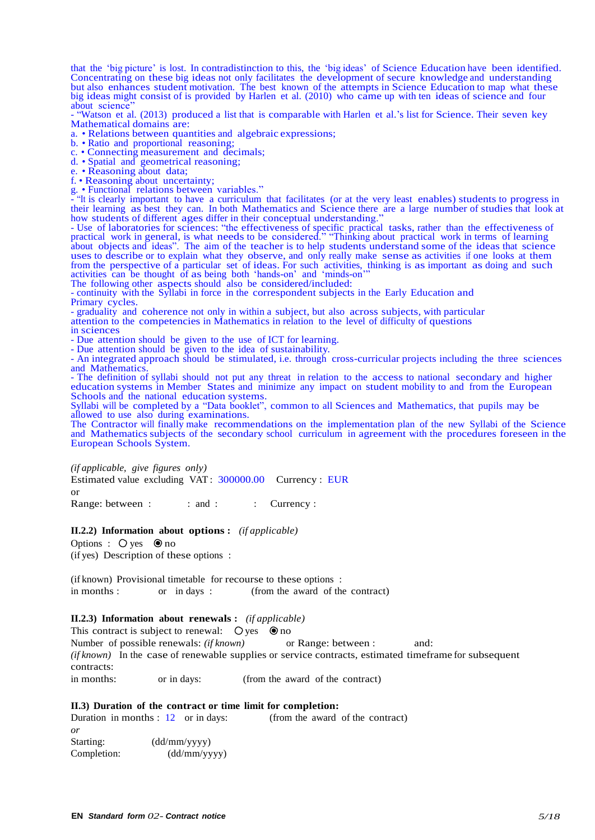that the 'big picture' is lost. In contradistinction to this, the 'big ideas' of Science Education have been identified. Concentrating on these big ideas not only facilitates the development of secure knowledge and understanding but also enhances student motivation. The best known of the attempts in Science Education to map what these big ideas might consist of is provided by Harlen et al. (2010) who came up with ten ideas of science and four about science

- "Watson et al. (2013) produced a list that is comparable with Harlen et al.'s list for Science. Their seven key Mathematical domains are:

a. • Relations between quantities and algebraic expressions;

b. • Ratio and proportional reasoning;

c. • Connecting measurement and decimals;

d. • Spatial and geometrical reasoning;

e. • Reasoning about data;

f. • Reasoning about uncertainty;

g. • Functional relations between variables."

- "It is clearly important to have a curriculum that facilitates (or at the very least enables) students to progress in their learning as best they can. In both Mathematics and Science there are a large number of studies that look at how students of different ages differ in their conceptual understanding.

- Use of laboratories for sciences: "the effectiveness of specific practical tasks, rather than the effectiveness of practical work in general, is what needs to be considered." "Thinking about practical work in terms of learning about objects and ideas". The aim of the teacher is to help students understand some of the ideas that science uses to describe or to explain what they observe, and only really make sense as activities if one looks at them from the perspective of a particular set of ideas. For such activities, thinking is as important as doing and such activities can be thought of as being both 'hands-on' and 'minds-on'"

The following other aspects should also be considered/included:

- continuity with the Syllabi in force in the correspondent subjects in the Early Education and Primary cycles.

- graduality and coherence not only in within a subject, but also across subjects, with particular

attention to the competencies in Mathematics in relation to the level of difficulty of questions

in sciences

- Due attention should be given to the use of ICT for learning.

- Due attention should be given to the idea of sustainability.

- An integrated approach should be stimulated, i.e. through cross-curricular projects including the three sciences and Mathematics.

- The definition of syllabi should not put any threat in relation to the access to national secondary and higher education systems in Member States and minimize any impact on student mobility to and from the European Schools and the national education systems.

Syllabi will be completed by a "Data booklet", common to all Sciences and Mathematics, that pupils may be allowed to use also during examinations.

The Contractor will finally make recommendations on the implementation plan of the new Syllabi of the Science and Mathematics subjects of the secondary school curriculum in agreement with the procedures foreseen in the European Schools System.

*(if applicable, give figures only)*

Estimated value excluding VAT : 300000.00 Currency : EUR or Range: between : : : : : : : Currency :

**II.2.2) Information about options :** *(if applicable)*

Options :  $\bigcirc$  yes  $\bigcirc$  no (if yes) Description of these options :

(if known) Provisional timetable for recourse to these options : in months : or in days : (from the award of the contract)

#### **II.2.3) Information about renewals :** *(if applicable)*

This contract is subject to renewal:  $\bigcirc$  yes  $\bigcirc$  no Number of possible renewals: *(if known)* or Range: between : and: *(if known)* In the case of renewable supplies or service contracts, estimated timeframe for subsequent contracts: in months: or in days: (from the award of the contract)

**II.3) Duration of the contract or time limit for completion:**

|             | Duration in months $: 12$ or in days: | (from the award of the contract) |
|-------------|---------------------------------------|----------------------------------|
| or          |                                       |                                  |
| Starting:   | (dd/mm/yyyy)                          |                                  |
| Completion: | (dd/mm/yyyy)                          |                                  |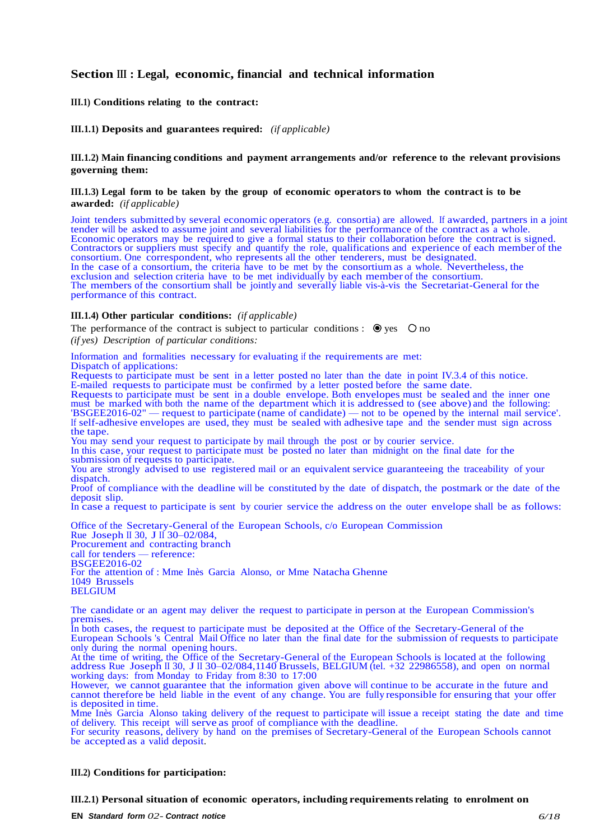## **Section III : Legal, economic, financial and technical information**

#### **III.1) Conditions relating to the contract:**

#### **III.1.1) Deposits and guarantees required:** *(if applicable)*

#### **III.1.2) Main financing conditions and payment arrangements and/or reference to the relevant provisions governing them:**

#### **III.1.3) Legal form to be taken by the group of economic operatorsto whom the contract is to be awarded:** *(if applicable)*

Joint tenders submitted by several economic operators (e.g. consortia) are allowed. If awarded, partners in a joint tender will be asked to assume joint and several liabilities for the performance of the contract as a whole. Economic operators may be required to give a formal status to their collaboration before the contract is signed. Contractors or suppliers must specify and quantify the role, qualifications and experience of each member of the consortium. One correspondent, who represents all the other tenderers, must be designated. In the case of a consortium, the criteria have to be met by the consortium as a whole. Nevertheless, the exclusion and selection criteria have to be met individually by each member of the consortium. The members of the consortium shall be jointly and severally liable vis-à-vis the Secretariat-General for the performance of this contract.

#### **III.1.4) Other particular conditions:** *(if applicable)*

The performance of the contract is subject to particular conditions :  $\bullet$  yes  $\circ$  no *(if yes) Description of particular conditions:*

Information and formalities necessary for evaluating if the requirements are met: Dispatch of applications: Requests to participate must be sent in a letter posted no later than the date in point IV.3.4 of this notice. E-mailed requests to participate must be confirmed by a letter posted before the same date. Requests to participate must be sent in a double envelope. Both envelopes must be sealed and the inner one must be marked with both the name of the department which it is addressed to (see above) and the following: 'BSGEE2016-02" — request to participate (name of candidate) — not to be opened by the internal mail service'. If self-adhesive envelopes are used, they must be sealed with adhesive tape and the sender must sign across the tape. You may send your request to participate by mail through the post or by courier service. In this case, your request to participate must be posted no later than midnight on the final date for the submission of requests to participate. You are strongly advised to use registered mail or an equivalent service guaranteeing the traceability of your dispatch. Proof of compliance with the deadline will be constituted by the date of dispatch, the postmark or the date of the deposit slip. In case a request to participate is sent by courier service the address on the outer envelope shall be as follows: Office of the Secretary-General of the European Schools, c/o European Commission Rue Joseph II 30, J II 30–02/084, Procurement and contracting branch call for tenders — reference: BSGEE2016-02

For the attention of : Mme Inès Garcia Alonso, or Mme Natacha Ghenne 1049 Brussels BELGIUM

The candidate or an agent may deliver the request to participate in person at the European Commission's premises.

In both cases, the request to participate must be deposited at the Office of the Secretary-General of the European Schools 's Central Mail Office no later than the final date for the submission of requests to participate only during the normal opening hours.

At the time of writing, the Office of the Secretary-General of the European Schools is located at the following address Rue Joseph II 30, J II 30–02/084,1140 Brussels, BELGIUM (tel. +32 22986558), and open on normal working days: from Monday to Friday from 8:30 to 17:00

However, we cannot guarantee that the information given above will continue to be accurate in the future and cannot therefore be held liable in the event of any change. You are fully responsible for ensuring that your offer is deposited in time.

Mme Inès Garcia Alonso taking delivery of the request to participate will issue a receipt stating the date and time of delivery. This receipt will serve as proof of compliance with the deadline.

For security reasons, delivery by hand on the premises of Secretary-General of the European Schools cannot be accepted as a valid deposit.

#### **III.2) Conditions for participation:**

#### **III.2.1) Personal situation of economic operators, including requirements relating to enrolment on**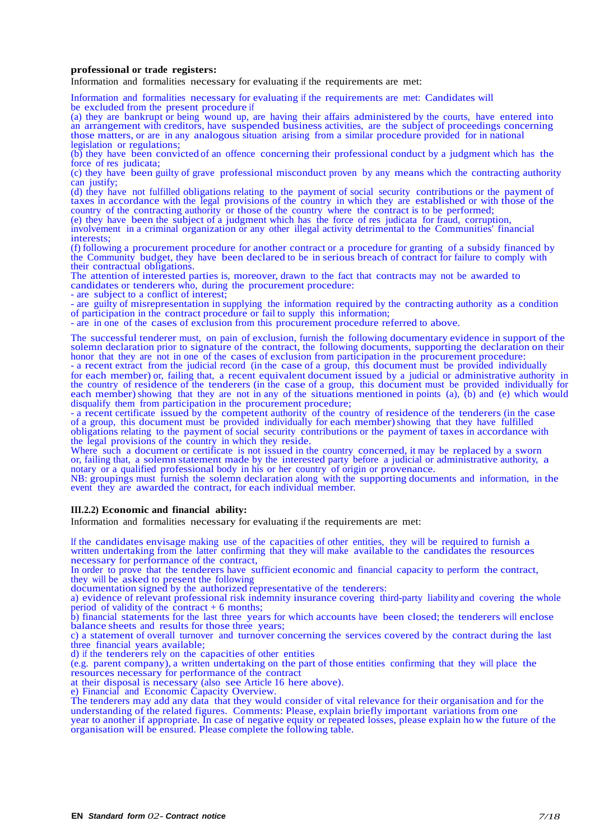#### **professional or trade registers:**

Information and formalities necessary for evaluating if the requirements are met:

Information and formalities necessary for evaluating if the requirements are met: Candidates will be excluded from the present procedure if

(a) they are bankrupt or being wound up, are having their affairs administered by the courts, have entered into an arrangement with creditors, have suspended business activities, are the subject of proceedings concerning those matters, or are in any analogous situation arising from a similar procedure provided for in national legislation or regulations;

(b) they have been convicted of an offence concerning their professional conduct by a judgment which has the force of res judicata;

(c) they have been guilty of grave professional misconduct proven by any means which the contracting authority can justify:

(d) they have not fulfilled obligations relating to the payment of social security contributions or the payment of taxes in accordance with the legal provisions of the country in which they are established or with those of the country of the contracting authority or those of the country where the contract is to be performed;

(e) they have been the subject of a judgment which has the force of res judicata for fraud, corruption,

involvement in a criminal organization or any other illegal activity detrimental to the Communities' financial interests;

(f) following a procurement procedure for another contract or a procedure for granting of a subsidy financed by the Community budget, they have been declared to be in serious breach of contract for failure to comply with their contractual obligations.

The attention of interested parties is, moreover, drawn to the fact that contracts may not be awarded to candidates or tenderers who, during the procurement procedure:

- are subject to a conflict of interest;

- are guilty of misrepresentation in supplying the information required by the contracting authority as a condition of participation in the contract procedure or fail to supply this information;

- are in one of the cases of exclusion from this procurement procedure referred to above.

The successful tenderer must, on pain of exclusion, furnish the following documentary evidence in support of the solemn declaration prior to signature of the contract, the following documents, supporting the declaration on their honor that they are not in one of the cases of exclusion from participation in the procurement procedure:

- a recent extract from the judicial record (in the case of a group, this document must be provided individually for each member) or, failing that, a recent equivalent document issued by a judicial or administrative authority in the country of residence of the tenderers (in the case of a group, this document must be provided individually for each member) showing that they are not in any of the situations mentioned in points (a), (b) and (e) which would disqualify them from participation in the procurement procedure;

- a recent certificate issued by the competent authority of the country of residence of the tenderers (in the case of a group, this document must be provided individually for each member) showing that they have fulfilled obligations relating to the payment of social security contributions or the payment of taxes in accordance with the legal provisions of the country in which they reside.

Where such a document or certificate is not issued in the country concerned, it may be replaced by a sworn or, failing that, a solemn statement made by the interested party before a judicial or administrative authority, a notary or a qualified professional body in his or her country of origin or provenance.

NB: groupings must furnish the solemn declaration along with the supporting documents and information, in the event they are awarded the contract, for each individual member.

#### **III.2.2) Economic and financial ability:**

Information and formalities necessary for evaluating if the requirements are met:

If the candidates envisage making use of the capacities of other entities, they will be required to furnish a written undertaking from the latter confirming that they will make available to the candidates the resources necessary for performance of the contract,

In order to prove that the tenderers have sufficient economic and financial capacity to perform the contract, they will be asked to present the following

documentation signed by the authorized representative of the tenderers:

a) evidence of relevant professional risk indemnity insurance covering third-party liability and covering the whole period of validity of the contract  $+ 6$  months;

b) financial statements for the last three years for which accounts have been closed; the tenderers will enclose balance sheets and results for those three years;

c) a statement of overall turnover and turnover concerning the services covered by the contract during the last three financial years available;

d) if the tenderers rely on the capacities of other entities

(e.g. parent company), a written undertaking on the part of those entities confirming that they will place the resources necessary for performance of the contract

at their disposal is necessary (also see Article 16 here above).

e) Financial and Economic Capacity Overview.

The tenderers may add any data that they would consider of vital relevance for their organisation and for the understanding of the related figures. Comments: Please, explain briefly important variations from one year to another if appropriate. In case of negative equity or repeated losses, please explain how the future of the organisation will be ensured. Please complete the following table.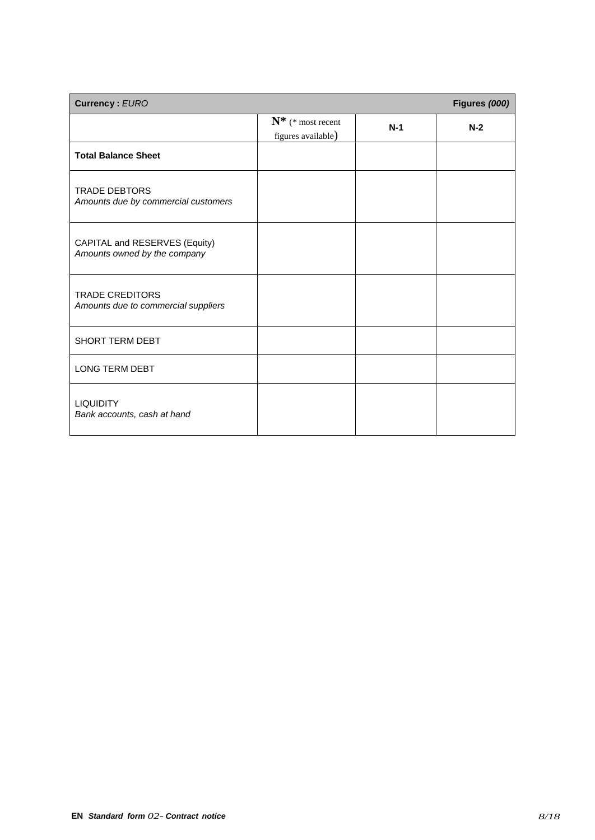| <b>Currency: EURO</b>                                         |                                            |       | Figures (000) |
|---------------------------------------------------------------|--------------------------------------------|-------|---------------|
|                                                               | $N^*$ (* most recent<br>figures available) | $N-1$ | $N-2$         |
| <b>Total Balance Sheet</b>                                    |                                            |       |               |
| <b>TRADE DEBTORS</b><br>Amounts due by commercial customers   |                                            |       |               |
| CAPITAL and RESERVES (Equity)<br>Amounts owned by the company |                                            |       |               |
| <b>TRADE CREDITORS</b><br>Amounts due to commercial suppliers |                                            |       |               |
| SHORT TERM DEBT                                               |                                            |       |               |
| <b>LONG TERM DEBT</b>                                         |                                            |       |               |
| <b>LIQUIDITY</b><br>Bank accounts, cash at hand               |                                            |       |               |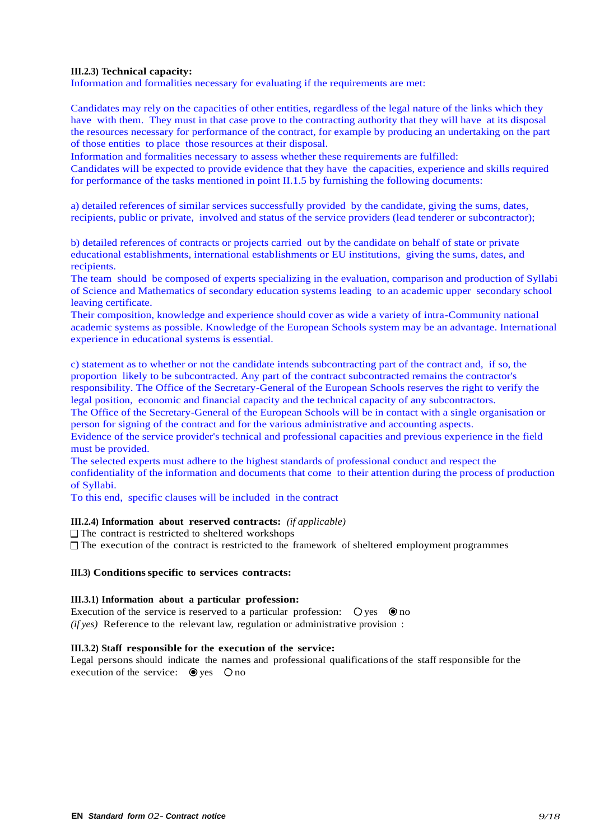#### **III.2.3) Technical capacity:**

Information and formalities necessary for evaluating if the requirements are met:

Candidates may rely on the capacities of other entities, regardless of the legal nature of the links which they have with them. They must in that case prove to the contracting authority that they will have at its disposal the resources necessary for performance of the contract, for example by producing an undertaking on the part of those entities to place those resources at their disposal.

Information and formalities necessary to assess whether these requirements are fulfilled:

Candidates will be expected to provide evidence that they have the capacities, experience and skills required for performance of the tasks mentioned in point II.1.5 by furnishing the following documents:

a) detailed references of similar services successfully provided by the candidate, giving the sums, dates, recipients, public or private, involved and status of the service providers (lead tenderer or subcontractor);

b) detailed references of contracts or projects carried out by the candidate on behalf of state or private educational establishments, international establishments or EU institutions, giving the sums, dates, and recipients.

The team should be composed of experts specializing in the evaluation, comparison and production of Syllabi of Science and Mathematics of secondary education systems leading to an academic upper secondary school leaving certificate.

Their composition, knowledge and experience should cover as wide a variety of intra-Community national academic systems as possible. Knowledge of the European Schools system may be an advantage. International experience in educational systems is essential.

c) statement as to whether or not the candidate intends subcontracting part of the contract and, if so, the proportion likely to be subcontracted. Any part of the contract subcontracted remains the contractor's responsibility. The Office of the Secretary-General of the European Schools reserves the right to verify the legal position, economic and financial capacity and the technical capacity of any subcontractors.

The Office of the Secretary-General of the European Schools will be in contact with a single organisation or person for signing of the contract and for the various administrative and accounting aspects.

Evidence of the service provider's technical and professional capacities and previous experience in the field must be provided.

The selected experts must adhere to the highest standards of professional conduct and respect the confidentiality of the information and documents that come to their attention during the process of production of Syllabi.

To this end, specific clauses will be included in the contract

#### **III.2.4) Information about reserved contracts:** *(if applicable)*

 $\Box$  The contract is restricted to sheltered workshops

 $\Box$  The execution of the contract is restricted to the framework of sheltered employment programmes

## **III.3) Conditionsspecific to services contracts:**

#### **III.3.1) Information about a particular profession:**

Execution of the service is reserved to a particular profession:  $\bigcirc$  yes  $\circledcirc$  no *(if yes)* Reference to the relevant law, regulation or administrative provision :

#### **III.3.2) Staff responsible for the execution of the service:**

Legal persons should indicate the names and professional qualifications of the staff responsible for the execution of the service:  $\bullet$  yes  $\circ$  no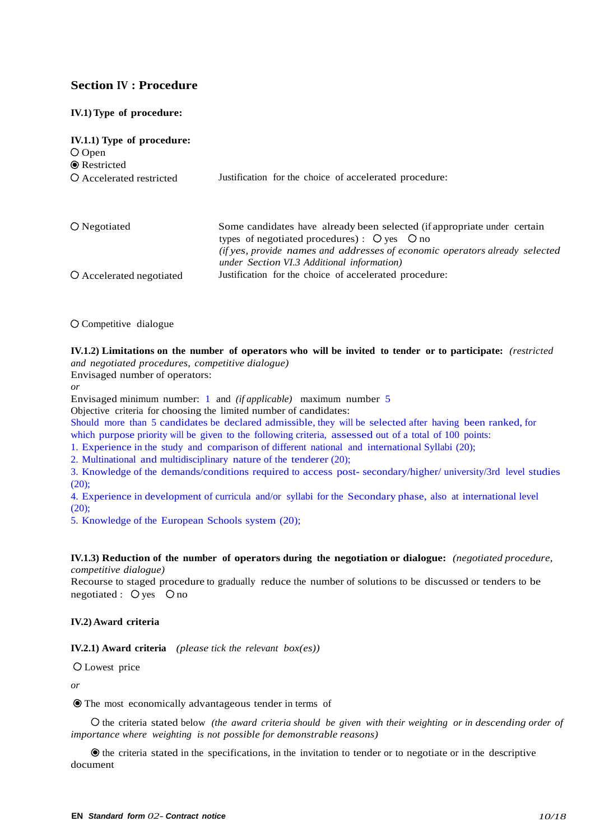## **Section IV : Procedure**

## **IV.1) Type of procedure:**

| IV.1.1) Type of procedure:<br>$\bigcirc$ Open<br><b>•</b> Restricted |                                                                                                                                                                                     |
|----------------------------------------------------------------------|-------------------------------------------------------------------------------------------------------------------------------------------------------------------------------------|
| O Accelerated restricted                                             | Justification for the choice of accelerated procedure:                                                                                                                              |
| $\bigcirc$ Negotiated                                                | Some candidates have already been selected (if appropriate under certain<br>types of negotiated procedures): $\bigcirc$ yes $\bigcirc$ no                                           |
| O Accelerated negotiated                                             | (if yes, provide names and addresses of economic operators already selected<br>under Section VI.3 Additional information)<br>Justification for the choice of accelerated procedure: |

Competitive dialogue

**IV.1.2) Limitations on the number of operators who will be invited to tender or to participate:** *(restricted and negotiated procedures, competitive dialogue)*

Envisaged number of operators:

*or*

Envisaged minimum number: 1 and *(if applicable)* maximum number 5

Objective criteria for choosing the limited number of candidates:

Should more than 5 candidates be declared admissible, they will be selected after having been ranked, for which purpose priority will be given to the following criteria, assessed out of a total of 100 points:

1. Experience in the study and comparison of different national and international Syllabi (20);

2. Multinational and multidisciplinary nature of the tenderer (20);

3. Knowledge of the demands/conditions required to access post- secondary/higher/ university/3rd level studies  $(20);$ 

4. Experience in development of curricula and/or syllabi for the Secondary phase, also at international level (20);

5. Knowledge of the European Schools system (20);

**IV.1.3) Reduction of the number of operators during the negotiation or dialogue:** *(negotiated procedure, competitive dialogue)*

Recourse to staged procedure to gradually reduce the number of solutions to be discussed or tenders to be negotiated :  $\bigcirc$  yes  $\bigcirc$  no

#### **IV.2) Award criteria**

**IV.2.1) Award criteria** *(please tick the relevant box(es))*

Lowest price

*or*

The most economically advantageous tender in terms of

the criteria stated below *(the award criteria should be given with their weighting or in descending order of importance where weighting is not possible for demonstrable reasons)*

 $\bullet$  the criteria stated in the specifications, in the invitation to tender or to negotiate or in the descriptive document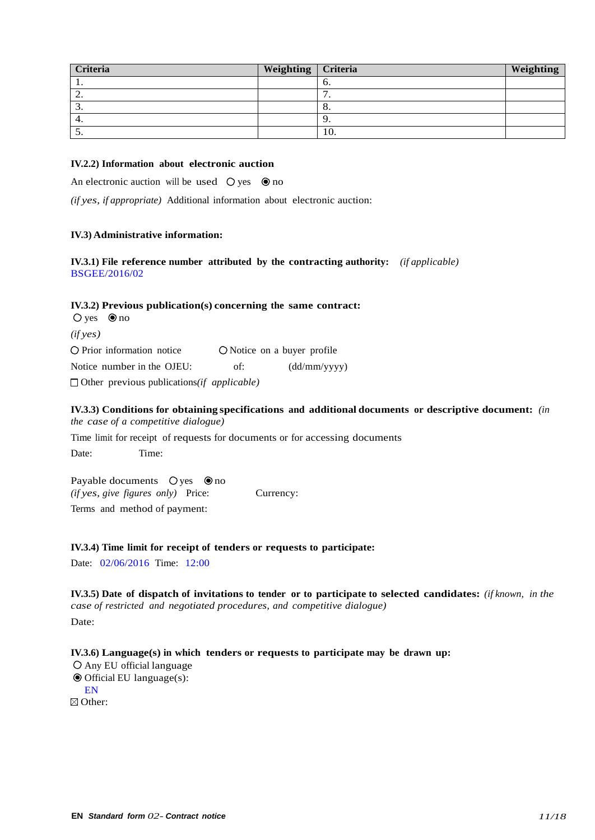| Criteria | Weighting   Criteria |     | Weighting |
|----------|----------------------|-----|-----------|
| . .      |                      | о.  |           |
| <u>.</u> |                      | -   |           |
| . ب      |                      | 0.  |           |
| 4.       |                      |     |           |
| J.       |                      | 10. |           |

#### **IV.2.2) Information about electronic auction**

An electronic auction will be used  $\circledcirc$  ves  $\circledcirc$  no

*(if yes, if appropriate)* Additional information about electronic auction:

#### **IV.3) Administrative information:**

**IV.3.1) File reference number attributed by the contracting authority:** *(if applicable)* BSGEE/2016/02

## **IV.3.2) Previous publication(s) concerning the same contract:**

 $\bigcirc$  yes  $\bigcirc$  no *(if yes)*  $\bigcirc$  Prior information notice  $\bigcirc$  Notice on a buyer profile Notice number in the OJEU: of: (dd/mm/yyyy) □ Other previous publications(*if applicable*)

#### **IV.3.3) Conditions for obtaining specifications and additional documents or descriptive document:** *(in the case of a competitive dialogue)*

Time limit for receipt of requests for documents or for accessing documents

Date: Time:

Payable documents  $\bigcirc$  yes  $\circledcirc$  no *(if yes, give figures only)* Price: Currency: Terms and method of payment:

#### **IV.3.4) Time limit for receipt of tenders or requests to participate:**

Date: 02/06/2016 Time: 12:00

**IV.3.5) Date of dispatch of invitations to tender or to participate to selected candidates:** *(if known, in the case of restricted and negotiated procedures, and competitive dialogue)* Date:

## **IV.3.6) Language(s) in which tenders or requests to participate may be drawn up:**

Any EU official language  $\odot$  Official EU language(s): EN ⊠ Other: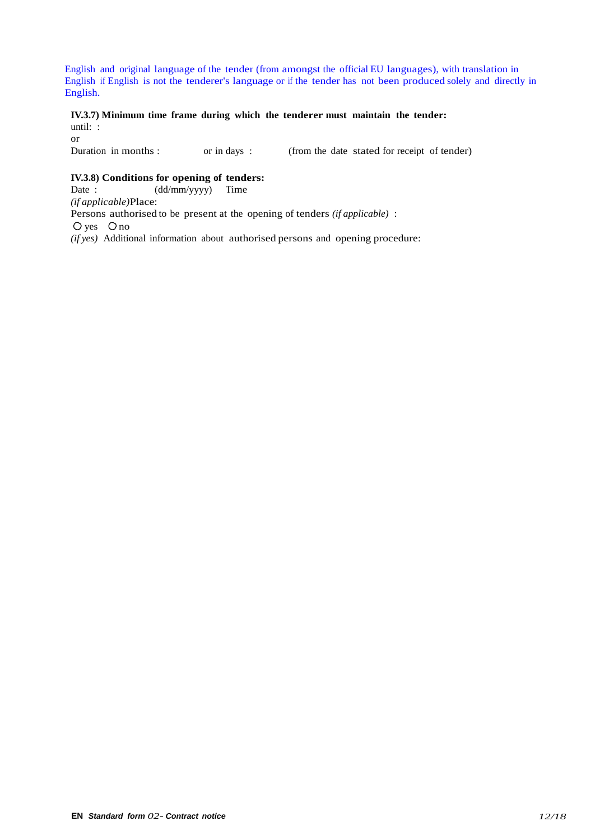English and original language of the tender (from amongst the official EU languages), with translation in English if English is not the tenderer's language or if the tender has not been produced solely and directly in English.

#### **IV.3.7) Minimum time frame during which the tenderer must maintain the tender:** until: :

or<br>Duration in months : or in days : (from the date stated for receipt of tender)

# **IV.3.8) Conditions for opening of tenders:**<br>Date:  $(d/dmm/yyyy)$  Time

(dd/mm/yyyy) Time *(if applicable)*Place: Persons authorised to be present at the opening of tenders *(if applicable)* :  $Q$  yes  $Q$  no *(if yes)* Additional information about authorised persons and opening procedure: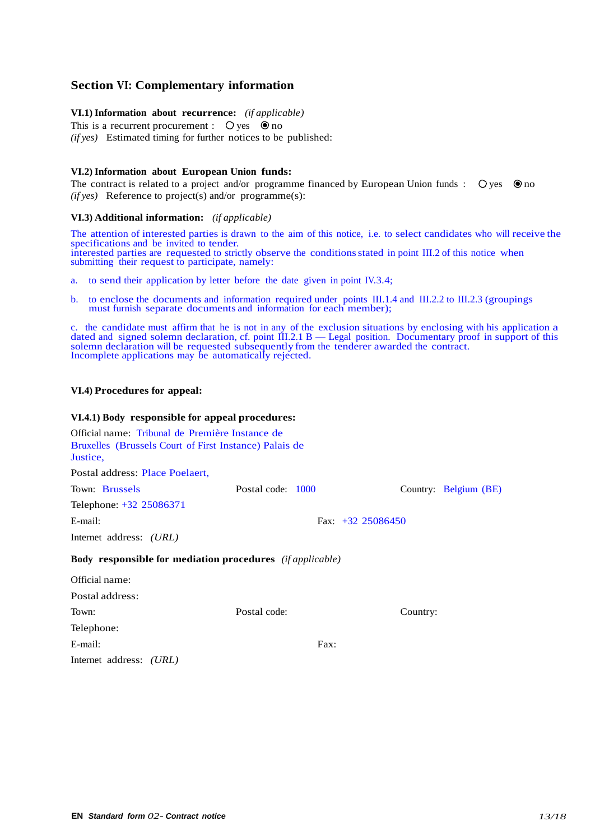## **Section VI: Complementary information**

#### **VI.1) Information about recurrence:** *(if applicable)*

This is a recurrent procurement :  $\circ$  yes  $\circ$  no *(if yes)* Estimated timing for further notices to be published:

#### **VI.2) Information about European Union funds:**

The contract is related to a project and/or programme financed by European Union funds :  $\bigcirc$  ves  $\bigcirc$  no *(if yes)* Reference to project(s) and/or programme(s):

#### **VI.3) Additional information:** *(if applicable)*

The attention of interested parties is drawn to the aim of this notice, i.e. to select candidates who will receive the specifications and be invited to tender. interested parties are requested to strictly observe the conditions stated in point III.2 of this notice when submitting their request to participate, namely:

- a. to send their application by letter before the date given in point IV.3.4;
- b. to enclose the documents and information required under points III.1.4 and III.2.2 to III.2.3 (groupings must furnish separate documents and information for each member);

c. the candidate must affirm that he is not in any of the exclusion situations by enclosing with his application a dated and signed solemn declaration, cf. point III.2.1 B — Legal position. Documentary proof in support of this solemn declaration will be requested subsequently from the tenderer awarded the contract. Incomplete applications may be automatically rejected.

## **VI.4) Procedures for appeal:**

#### **VI.4.1) Body responsible for appeal procedures:**

| Official name: Tribunal de Première Instance de<br>Bruxelles (Brussels Court of First Instance) Palais de<br>Justice, |                     |      |                       |  |
|-----------------------------------------------------------------------------------------------------------------------|---------------------|------|-----------------------|--|
| Postal address: Place Poelaert,                                                                                       |                     |      |                       |  |
| Town: Brussels                                                                                                        | Postal code: 1000   |      | Country: Belgium (BE) |  |
| Telephone: +32 25086371                                                                                               |                     |      |                       |  |
| E-mail:                                                                                                               | Fax: $+32$ 25086450 |      |                       |  |
| Internet address: <i>(URL)</i>                                                                                        |                     |      |                       |  |
| <b>Body responsible for mediation procedures</b> ( <i>if applicable</i> )                                             |                     |      |                       |  |
| Official name:                                                                                                        |                     |      |                       |  |
| Postal address:                                                                                                       |                     |      |                       |  |
| Town:                                                                                                                 | Postal code:        |      | Country:              |  |
| Telephone:                                                                                                            |                     |      |                       |  |
| E-mail:                                                                                                               |                     | Fax: |                       |  |

Internet address: *(URL)*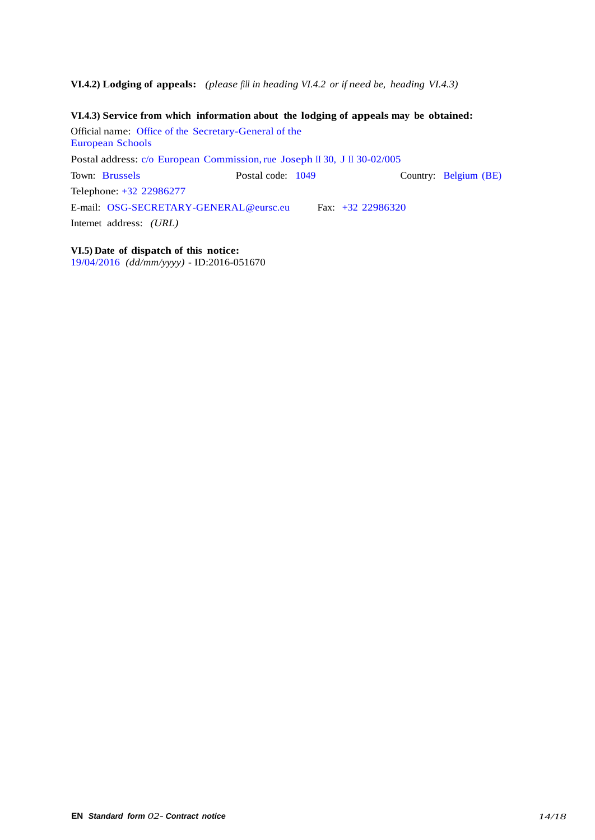**VI.4.2) Lodging of appeals:** *(please fill in heading VI.4.2 or if need be, heading VI.4.3)*

**VI.4.3) Service from which information about the lodging of appeals may be obtained:** Official name: Office of the Secretary-General of the European Schools Postal address: c/o European Commission, rue Joseph II 30, J II 30-02/005 Town: Brussels Postal code: 1049 Country: Belgium (BE) Telephone: +32 22986277 E-mail: [OSG-SECRETARY-GENERAL@eursc.eu](mailto:OSG-SECRETARY-GENERAL@eursc.eu) Fax: +32 22986320 Internet address: *(URL)*

**VI.5) Date of dispatch of this notice:** 19/04/2016 *(dd/mm/yyyy)* - ID:2016-051670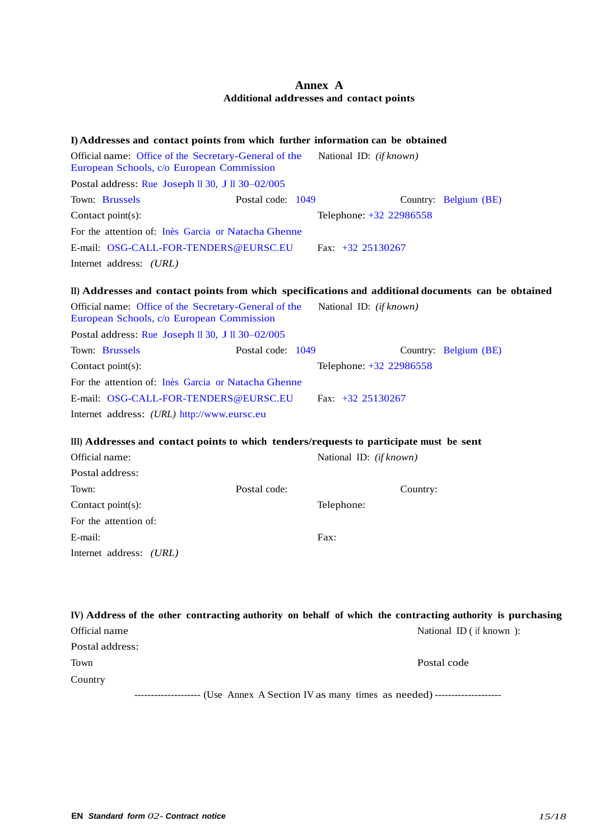## **Annex A Additional addresses and contact points**

| I) Addresses and contact points from which further information can be obtained                      |                   |                                |                       |
|-----------------------------------------------------------------------------------------------------|-------------------|--------------------------------|-----------------------|
| Official name: Office of the Secretary-General of the<br>European Schools, c/o European Commission  |                   | National ID: <i>(if known)</i> |                       |
| Postal address: Rue Joseph II 30, J II 30-02/005                                                    |                   |                                |                       |
| Town: Brussels                                                                                      | Postal code: 1049 |                                | Country: Belgium (BE) |
| Contact point(s):                                                                                   |                   | Telephone: +32 22986558        |                       |
| For the attention of: Inès Garcia or Natacha Ghenne                                                 |                   |                                |                       |
| E-mail: OSG-CALL-FOR-TENDERS@EURSC.EU                                                               |                   | Fax: $+32$ 25130267            |                       |
| Internet address: <i>(URL)</i>                                                                      |                   |                                |                       |
| II) Addresses and contact points from which specifications and additional documents can be obtained |                   |                                |                       |
| Official name: Office of the Secretary-General of the<br>European Schools, c/o European Commission  |                   | National ID: (if known)        |                       |
| Postal address: Rue Joseph II 30, J II 30-02/005                                                    |                   |                                |                       |
| Town: Brussels                                                                                      | Postal code: 1049 |                                | Country: Belgium (BE) |
| Contact point(s):                                                                                   |                   | Telephone: +32 22986558        |                       |
| For the attention of: Ines Garcia or Natacha Ghenne                                                 |                   |                                |                       |
| E-mail: OSG-CALL-FOR-TENDERS@EURSC.EU                                                               |                   | Fax: $+32$ 25130267            |                       |
| Internet address: (URL) http://www.eursc.eu                                                         |                   |                                |                       |
| III) Addresses and contact points to which tenders/requests to participate must be sent             |                   |                                |                       |
| Official name:                                                                                      |                   | National ID: (if known)        |                       |
| Postal address:                                                                                     |                   |                                |                       |
| Town:                                                                                               | Postal code:      | Country:                       |                       |

Contact point(s): Telephone: For the attention of: E-mail: Fax: Internet address: *(URL)*

|                 |  | IV) Address of the other contracting authority on behalf of which the contracting authority is purchasing |  |
|-----------------|--|-----------------------------------------------------------------------------------------------------------|--|
| Official name   |  | National ID $($ if known $)$ :                                                                            |  |
| Postal address: |  |                                                                                                           |  |
| Town            |  | Postal code                                                                                               |  |
| Country         |  |                                                                                                           |  |

-------------------- (Use Annex A Section IV as many times as needed) --------------------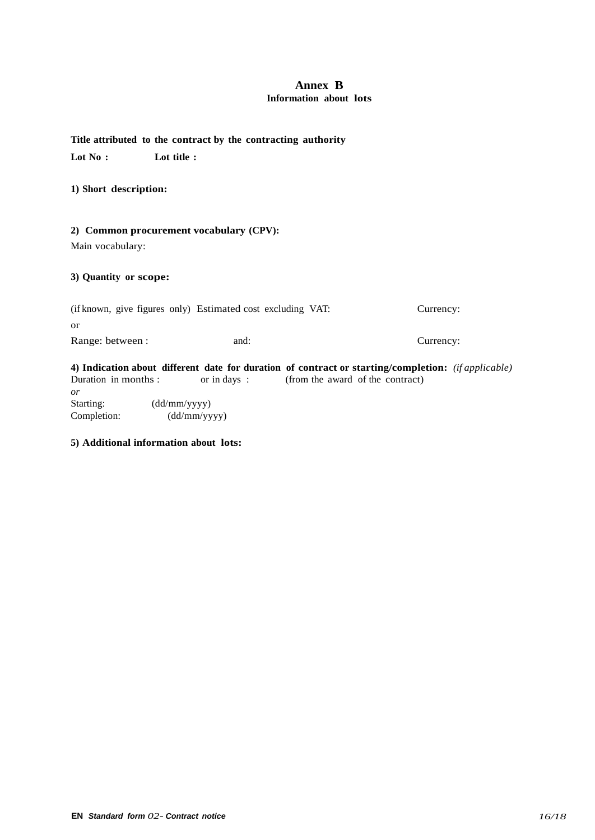## **Annex B Information about lots**

## **Title attributed to the contract by the contracting authority**

**Lot No : Lot title :**

**1) Short description:**

## **2) Common procurement vocabulary (CPV):**

Main vocabulary:

## **3) Quantity or scope:**

|                  | (if known, give figures only) Estimated cost excluding VAT: | Currency: |
|------------------|-------------------------------------------------------------|-----------|
| or               |                                                             |           |
| Range: between : | and:                                                        | Currency: |
| _____            |                                                             |           |

**4) Indication about different date for duration of contract or starting/completion:** *(if applicable)* **Duration in months : or in days :** *(from the award of the contract)* (from the award of the contract) *or* Starting: (dd/mm/yyyy)<br>Completion: (dd/mm/yy  $(dd/mm/yyyy)$ 

## **5) Additional information about lots:**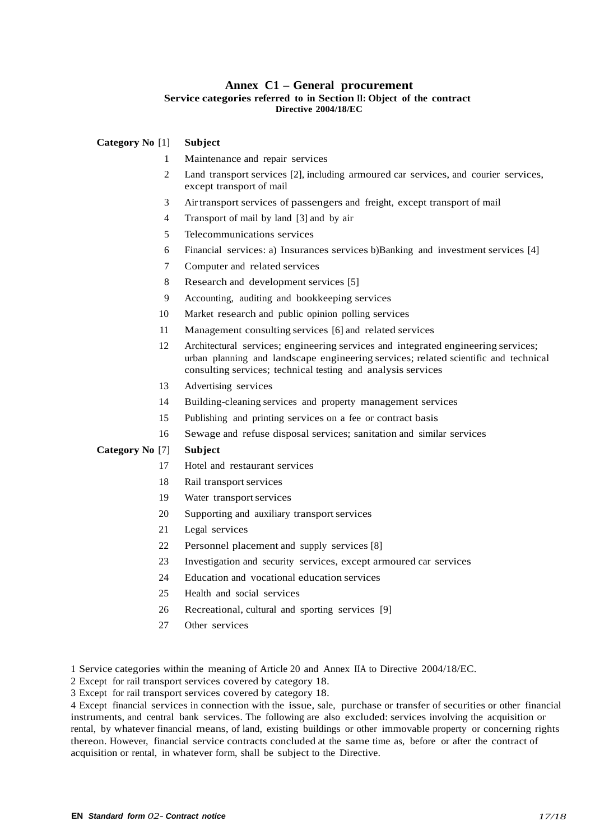## **Annex C1 – General procurement Service categories referred to in Section II: Object of the contract Directive 2004/18/EC**

#### **Category No** [1] **Subject**

- Maintenance and repair services
- Land transport services [2], including armoured car services, and courier services, except transport of mail
- Air transport services of passengers and freight, except transport of mail
- Transport of mail by land [3] and by air
- Telecommunications services
- Financial services: a) Insurances services b)Banking and investment services [4]
- Computer and related services
- Research and development services [5]
- Accounting, auditing and bookkeeping services
- Market research and public opinion polling services
- Management consulting services [6] and related services
- Architectural services; engineering services and integrated engineering services; urban planning and landscape engineering services; related scientific and technical consulting services; technical testing and analysis services
- Advertising services
- Building-cleaning services and property management services
- Publishing and printing services on a fee or contract basis
- Sewage and refuse disposal services; sanitation and similar services

#### **Category No** [7] **Subject**

- Hotel and restaurant services
- 18 Rail transport services
- 19 Water transport services
- Supporting and auxiliary transportservices
- Legal services
- Personnel placement and supply services [8]
- Investigation and security services, except armoured car services
- Education and vocational education services
- Health and social services
- Recreational, cultural and sporting services [9]
- Other services

Service categories within the meaning of Article 20 and Annex IIA to Directive 2004/18/EC.

Except for rail transport services covered by category 18.

Except for rail transport services covered by category 18.

 Except financial services in connection with the issue, sale, purchase or transfer of securities or other financial instruments, and central bank services. The following are also excluded: services involving the acquisition or rental, by whatever financial means, of land, existing buildings or other immovable property or concerning rights thereon. However, financial service contracts concluded at the same time as, before or after the contract of acquisition or rental, in whatever form, shall be subject to the Directive.